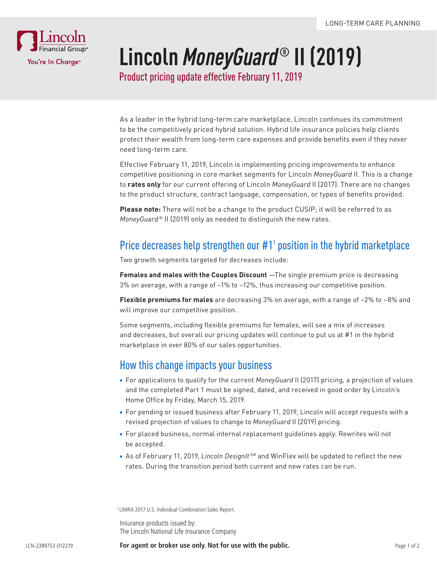

# **Lincoln** *MoneyGuard***® II (2019)**

Product pricing update effective February 11, 2019

As a leader in the hybrid long-term care marketplace, Lincoln continues its commitment to be the competitively priced hybrid solution. Hybrid life insurance policies help clients protect their wealth from long-term care expenses and provide benefits even if they never need long-term care.

Effective February 11, 2019, Lincoln is implementing pricing improvements to enhance competitive positioning in core market segments for Lincoln *MoneyGuard* II. This is a change to **rates only** for our current offering of Lincoln *MoneyGuard* II (2017). There are no changes to the product structure, contract language, compensation, or types of benefits provided.

**Please note:** There will not be a change to the product CUSIP; it will be referred to as *MoneyGuard®* II (2019) only as needed to distinguish the new rates.

## Price decreases help strengthen our  $#1<sup>1</sup>$  position in the hybrid marketplace

Two growth segments targeted for decreases include:

**Females and males with the Couples Discount** —The single premium price is decreasing 3% on average, with a range of –1% to –12%, thus increasing our competitive position.

**Flexible premiums for males** are decreasing 3% on average, with a range of –2% to –8% and will improve our competitive position.

Some segments, including flexible premiums for females, will see a mix of increases and decreases, but overall our pricing updates will continue to put us at #1 in the hybrid marketplace in over 80% of our sales opportunities.

### How this change impacts your business

- For applications to qualify for the current *MoneyGuard* II (2017) pricing, a projection of values and the completed Part 1 must be signed, dated, and received in good order by Lincoln's Home Office by Friday, March 15, 2019.
- For pending or issued business after February 11, 2019, Lincoln will accept requests with a revised projection of values to change to *MoneyGuard* II (2019) pricing.
- For placed business, normal internal replacement guidelines apply. Rewrites will not be accepted.
- As of February 11, 2019, *Lincoln DesignIt* SM and WinFlex will be updated to reflect the new rates. During the transition period both current and new rates can be run.

1 LIMRA 2017 U.S. Individual Combination Sales Report.

Insurance products issued by: The Lincoln National Life Insurance Company